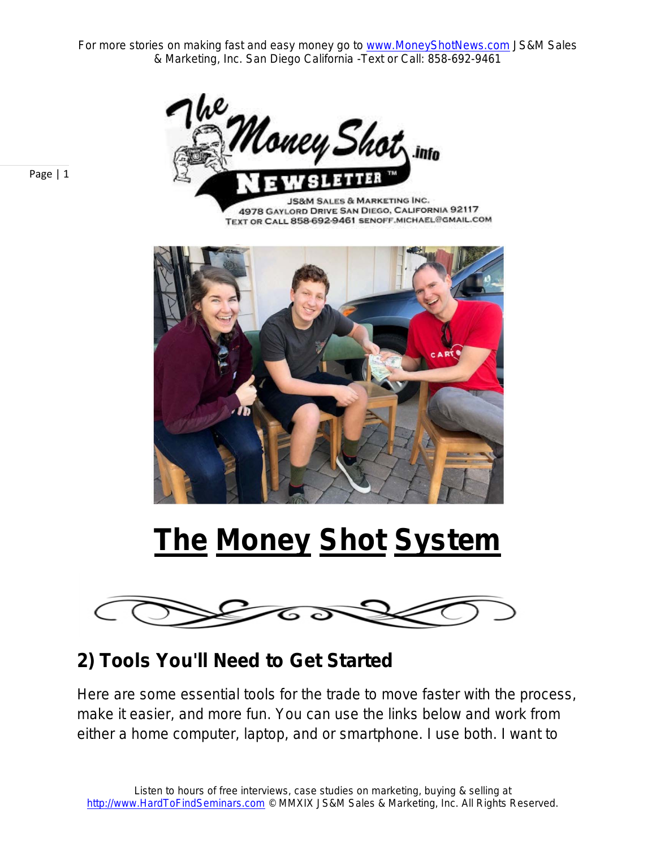For more stories on making fast and easy money go to **www.MoneyShotNews.com** JS&M Sales & Marketing, Inc. San Diego California -Text or Call: 858-692-9461



**JS&M SALES & MARKETING INC.** 4978 GAYLORD DRIVE SAN DIEGO, CALIFORNIA 92117 TEXT OR CALL 858-692-9461 SENOFF MICHAEL@GMAIL.COM



# **The Money Shot System**



#### **2) Tools You'll Need to Get Started**

Here are some essential tools for the trade to move faster with the process, make it easier, and more fun. You can use the links below and work from either a home computer, laptop, and or smartphone. I use both. I want to

Page | 1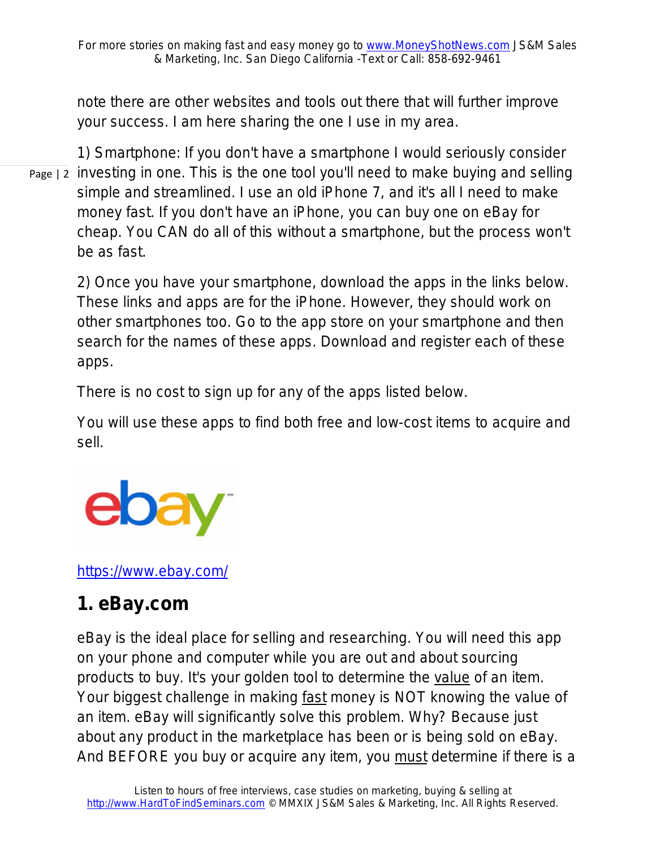note there are other websites and tools out there that will further improve your success. I am here sharing the one I use in my area.

Page | 2 investing in one. This is the one tool you'll need to make buying and selling 1) Smartphone: If you don't have a smartphone I would seriously consider simple and streamlined. I use an old iPhone 7, and it's all I need to make money fast. If you don't have an iPhone, you can buy one on eBay for cheap. You CAN do all of this without a smartphone, but the process won't be as fast.

2) Once you have your smartphone, download the apps in the links below. These links and apps are for the iPhone. However, they should work on other smartphones too. Go to the app store on your smartphone and then search for the names of these apps. Download and register each of these apps.

There is no cost to sign up for any of the apps listed below.

You will use these apps to find both free and low-cost items to acquire and sell.



<https://www.ebay.com/>

#### **1. eBay.com**

eBay is the ideal place for selling and researching. You will need this app on your phone and computer while you are out and about sourcing products to buy. It's your golden tool to determine the value of an item. Your biggest challenge in making fast money is NOT knowing the value of an item. eBay will significantly solve this problem. Why? Because just about any product in the marketplace has been or is being sold on eBay. And BEFORE you buy or acquire any item, you must determine if there is a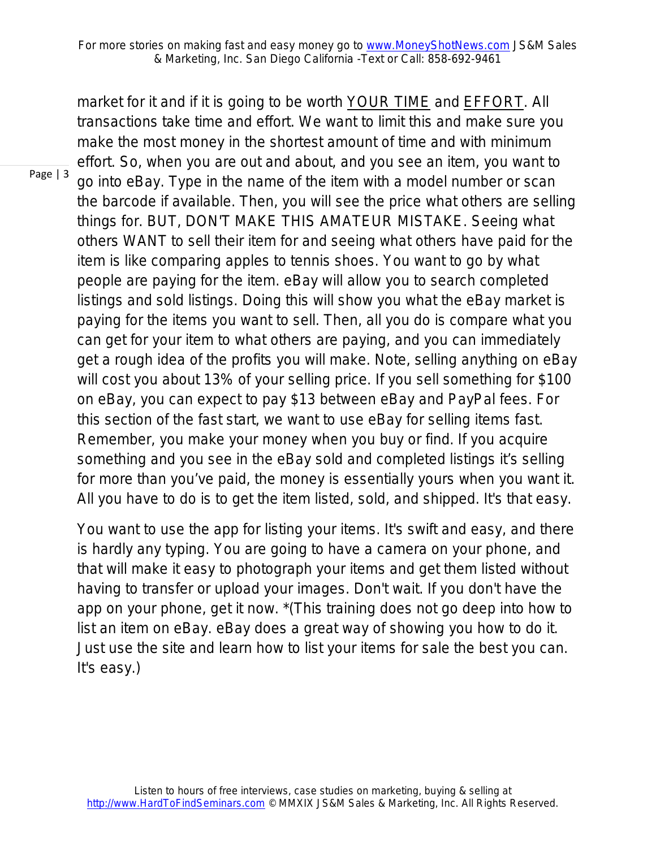Page | 3 market for it and if it is going to be worth YOUR TIME and **EFFORT**. All transactions take time and effort. We want to limit this and make sure you make the most money in the shortest amount of time and with minimum effort. So, when you are out and about, and you see an item, you want to go into eBay. Type in the name of the item with a model number or scan the barcode if available. Then, you will see the price what others are selling things for. BUT, DON'T MAKE THIS AMATEUR MISTAKE. Seeing what others WANT to sell their item for and seeing what others have paid for the item is like comparing apples to tennis shoes. You want to go by what people are paying for the item. eBay will allow you to search completed listings and sold listings. Doing this will show you what the eBay market is paying for the items you want to sell. Then, all you do is compare what you can get for your item to what others are paying, and you can immediately get a rough idea of the profits you will make. Note, selling anything on eBay will cost you about 13% of your selling price. If you sell something for \$100 on eBay, you can expect to pay \$13 between eBay and PayPal fees. For this section of the fast start, we want to use eBay for selling items fast. Remember, you make your money when you buy or find. If you acquire something and you see in the eBay sold and completed listings it's selling for more than you've paid, the money is essentially yours when you want it. All you have to do is to get the item listed, sold, and shipped. It's that easy.

You want to use the app for listing your items. It's swift and easy, and there is hardly any typing. You are going to have a camera on your phone, and that will make it easy to photograph your items and get them listed without having to transfer or upload your images. Don't wait. If you don't have the app on your phone, get it now. \*(This training does not go deep into how to list an item on eBay. eBay does a great way of showing you how to do it. Just use the site and learn how to list your items for sale the best you can. It's easy.)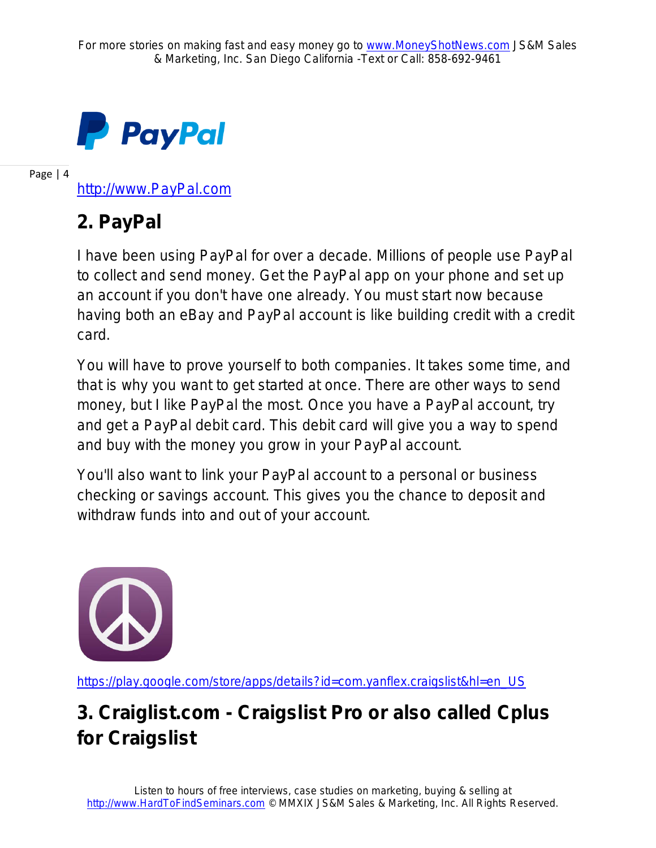

Page | 4

[http://www.PayPal.com](http://www.paypal.com/)

#### **2. PayPal**

I have been using PayPal for over a decade. Millions of people use PayPal to collect and send money. Get the PayPal app on your phone and set up an account if you don't have one already. You must start now because having both an eBay and PayPal account is like building credit with a credit card.

You will have to prove yourself to both companies. It takes some time, and that is why you want to get started at once. There are other ways to send money, but I like PayPal the most. Once you have a PayPal account, try and get a PayPal debit card. This debit card will give you a way to spend and buy with the money you grow in your PayPal account.

You'll also want to link your PayPal account to a personal or business checking or savings account. This gives you the chance to deposit and withdraw funds into and out of your account.



[https://play.google.com/store/apps/details?id=com.yanflex.craigslist&hl=en\\_US](https://play.google.com/store/apps/details?id=com.yanflex.craigslist&hl=en_US)

### **3. Craiglist.com - Craigslist Pro or also called Cplus for Craigslist**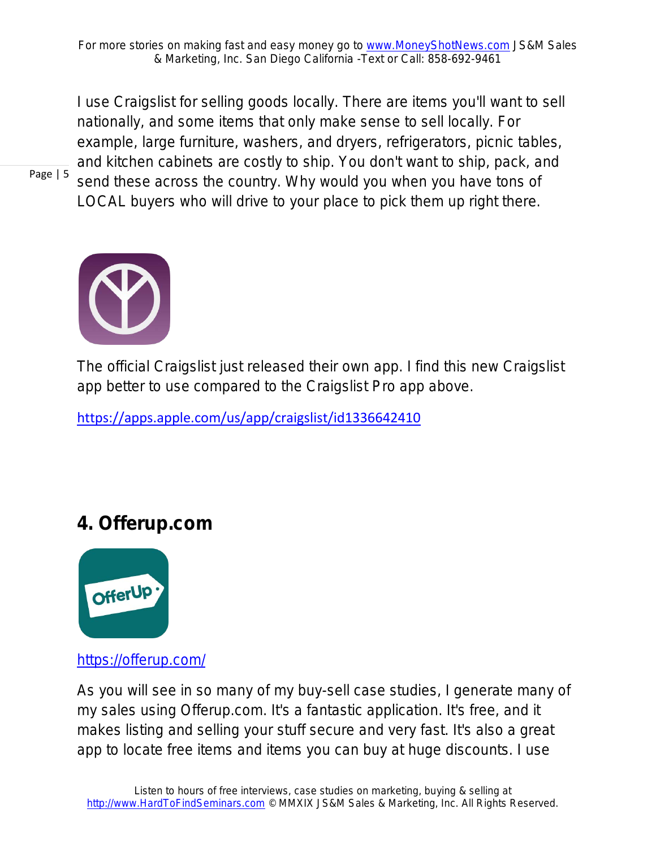I use Craigslist for selling goods locally. There are items you'll want to sell nationally, and some items that only make sense to sell locally. For example, large furniture, washers, and dryers, refrigerators, picnic tables, and kitchen cabinets are costly to ship. You don't want to ship, pack, and

Page | 5

send these across the country. Why would you when you have tons of LOCAL buyers who will drive to your place to pick them up right there.



The official Craigslist just released their own app. I find this new Craigslist app better to use compared to the Craigslist Pro app above.

<https://apps.apple.com/us/app/craigslist/id1336642410>

#### **4. Offerup.com**



<https://offerup.com/>

As you will see in so many of my buy-sell case studies, I generate many of my sales using Offerup.com. It's a fantastic application. It's free, and it makes listing and selling your stuff secure and very fast. It's also a great app to locate free items and items you can buy at huge discounts. I use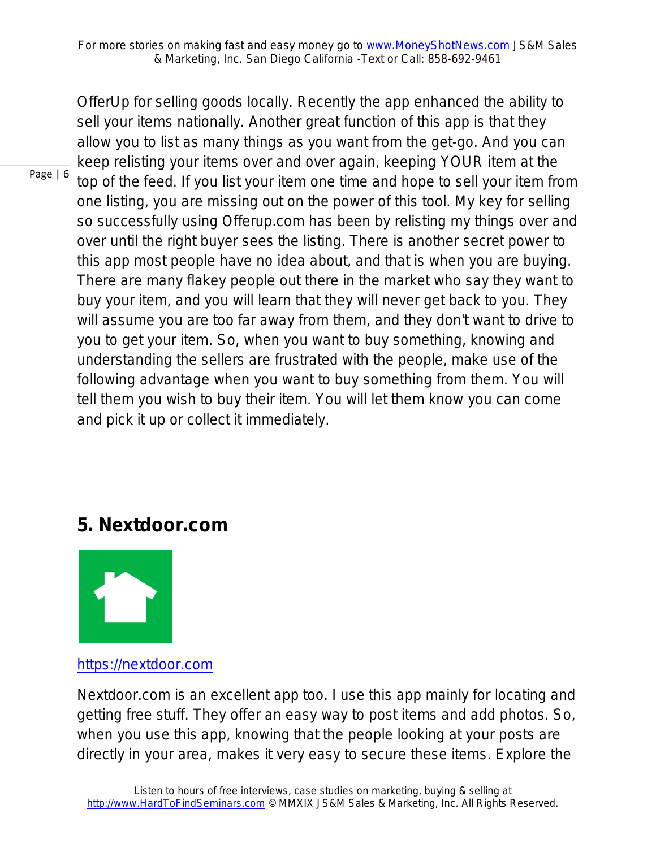OfferUp for selling goods locally. Recently the app enhanced the ability to sell your items nationally. Another great function of this app is that they allow you to list as many things as you want from the get-go. And you can keep relisting your items over and over again, keeping YOUR item at the top of the feed. If you list your item one time and hope to sell your item from one listing, you are missing out on the power of this tool. My key for selling so successfully using Offerup.com has been by relisting my things over and over until the right buyer sees the listing. There is another secret power to this app most people have no idea about, and that is when you are buying. There are many flakey people out there in the market who say they want to buy your item, and you will learn that they will never get back to you. They will assume you are too far away from them, and they don't want to drive to you to get your item. So, when you want to buy something, knowing and understanding the sellers are frustrated with the people, make use of the following advantage when you want to buy something from them. You will tell them you wish to buy their item. You will let them know you can come and pick it up or collect it immediately.

#### **5. Nextdoor.com**



Page | 6

#### [https://nextdoor.com](https://nextdoor.com/)

Nextdoor.com is an excellent app too. I use this app mainly for locating and getting free stuff. They offer an easy way to post items and add photos. So, when you use this app, knowing that the people looking at your posts are directly in your area, makes it very easy to secure these items. Explore the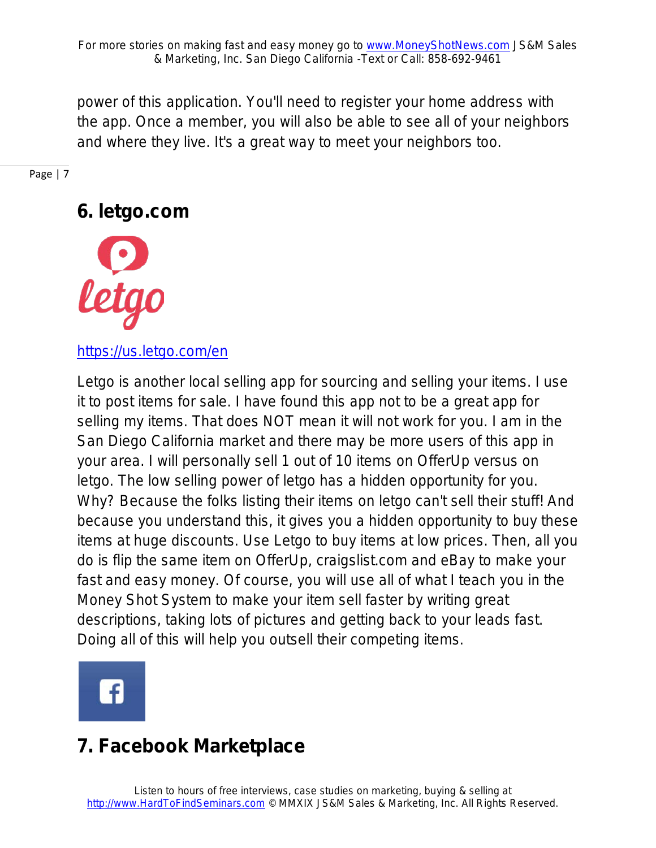power of this application. You'll need to register your home address with the app. Once a member, you will also be able to see all of your neighbors and where they live. It's a great way to meet your neighbors too.

Page | 7

### **6. letgo.com**



#### <https://us.letgo.com/en>

Letgo is another local selling app for sourcing and selling your items. I use it to post items for sale. I have found this app not to be a great app for selling my items. That does NOT mean it will not work for you. I am in the San Diego California market and there may be more users of this app in your area. I will personally sell 1 out of 10 items on OfferUp versus on letgo. The low selling power of letgo has a hidden opportunity for you. Why? Because the folks listing their items on letgo can't sell their stuff! And because you understand this, it gives you a hidden opportunity to buy these items at huge discounts. Use Letgo to buy items at low prices. Then, all you do is flip the same item on OfferUp, craigslist.com and eBay to make your fast and easy money. Of course, you will use all of what I teach you in the Money Shot System to make your item sell faster by writing great descriptions, taking lots of pictures and getting back to your leads fast. Doing all of this will help you outsell their competing items.



### **7. Facebook Marketplace**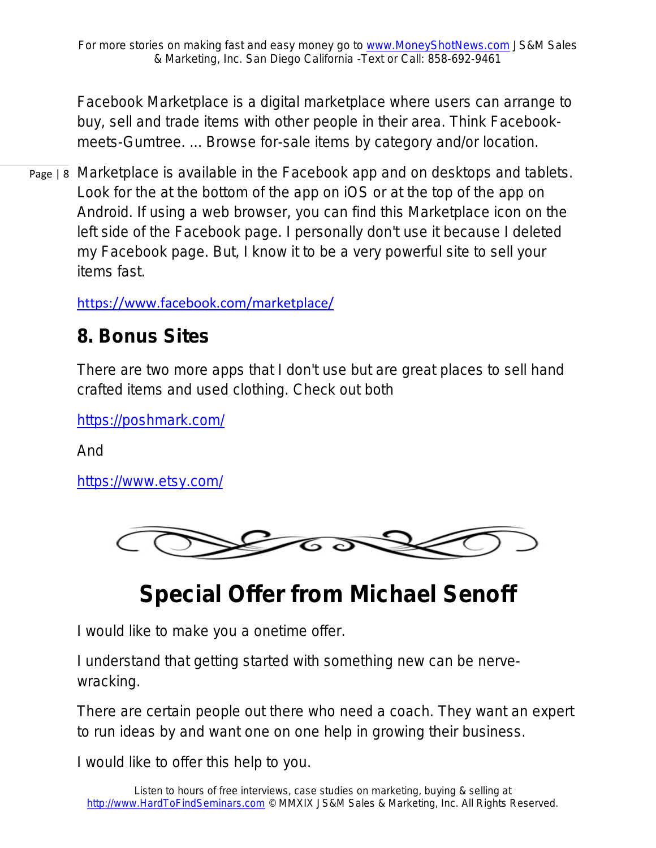Facebook Marketplace is a digital marketplace where users can arrange to buy, sell and trade items with other people in their area. Think Facebookmeets-Gumtree. ... Browse for-sale items by category and/or location.

Page | 8 Marketplace is available in the Facebook app and on desktops and tablets. Look for the at the bottom of the app on iOS or at the top of the app on Android. If using a web browser, you can find this Marketplace icon on the left side of the Facebook page. I personally don't use it because I deleted my Facebook page. But, I know it to be a very powerful site to sell your items fast.

<https://www.facebook.com/marketplace/>

#### **8. Bonus Sites**

There are two more apps that I don't use but are great places to sell hand crafted items and used clothing. Check out both

<https://poshmark.com/>

And

<https://www.etsy.com/>



# **Special Offer from Michael Senoff**

I would like to make you a onetime offer.

I understand that getting started with something new can be nervewracking.

There are certain people out there who need a coach. They want an expert to run ideas by and want one on one help in growing their business.

I would like to offer this help to you.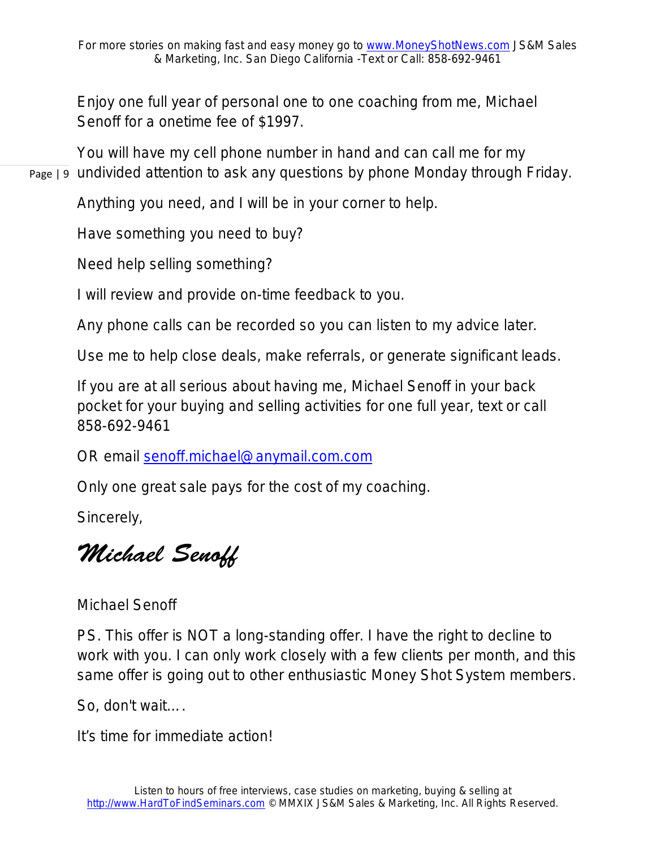Enjoy one full year of personal one to one coaching from me, Michael Senoff for a onetime fee of \$1997.

Page | 9 undivided attention to ask any questions by phone Monday through Friday. You will have my cell phone number in hand and can call me for my

Anything you need, and I will be in your corner to help.

Have something you need to buy?

Need help selling something?

I will review and provide on-time feedback to you.

Any phone calls can be recorded so you can listen to my advice later.

Use me to help close deals, make referrals, or generate significant leads.

If you are at all serious about having me, Michael Senoff in your back pocket for your buying and selling activities for one full year, text or call 858-692-9461

OR email senoff.michael@anymail.com.com

Only one great sale pays for the cost of my coaching.

Sincerely,

## *Michael Senoff*

#### Michael Senoff

PS. This offer is NOT a long-standing offer. I have the right to decline to work with you. I can only work closely with a few clients per month, and this same offer is going out to other enthusiastic Money Shot System members.

So, don't wait….

It's time for immediate action!